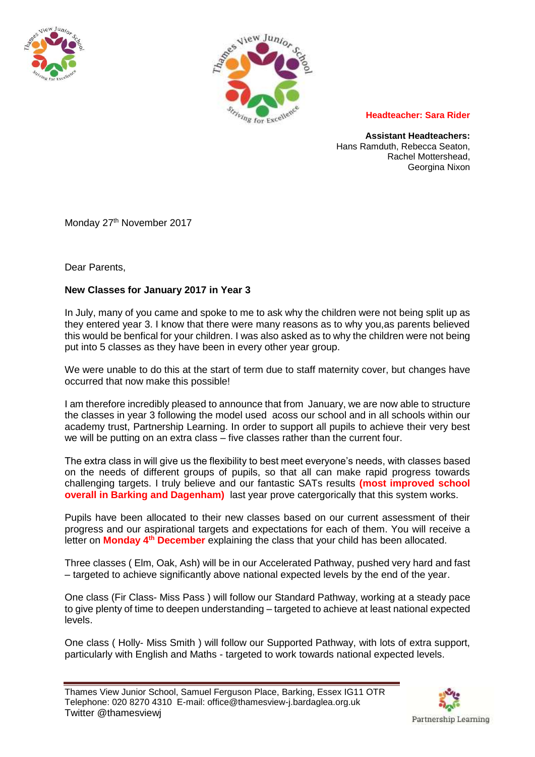



**Headteacher: Sara Rider**

**Assistant Headteachers:** Hans Ramduth, Rebecca Seaton, Rachel Mottershead, Georgina Nixon

Monday 27<sup>th</sup> November 2017

Dear Parents,

## **New Classes for January 2017 in Year 3**

In July, many of you came and spoke to me to ask why the children were not being split up as they entered year 3. I know that there were many reasons as to why you,as parents believed this would be benfical for your children. I was also asked as to why the children were not being put into 5 classes as they have been in every other year group.

We were unable to do this at the start of term due to staff maternity cover, but changes have occurred that now make this possible!

I am therefore incredibly pleased to announce that from January, we are now able to structure the classes in year 3 following the model used acoss our school and in all schools within our academy trust, Partnership Learning. In order to support all pupils to achieve their very best we will be putting on an extra class – five classes rather than the current four.

The extra class in will give us the flexibility to best meet everyone's needs, with classes based on the needs of different groups of pupils, so that all can make rapid progress towards challenging targets. I truly believe and our fantastic SATs results **(most improved school overall in Barking and Dagenham)** last year prove catergorically that this system works.

Pupils have been allocated to their new classes based on our current assessment of their progress and our aspirational targets and expectations for each of them. You will receive a letter on **Monday 4<sup>th</sup> December** explaining the class that your child has been allocated.

Three classes ( Elm, Oak, Ash) will be in our Accelerated Pathway, pushed very hard and fast – targeted to achieve significantly above national expected levels by the end of the year.

One class (Fir Class- Miss Pass ) will follow our Standard Pathway, working at a steady pace to give plenty of time to deepen understanding – targeted to achieve at least national expected levels.

One class ( Holly- Miss Smith ) will follow our Supported Pathway, with lots of extra support, particularly with English and Maths - targeted to work towards national expected levels.